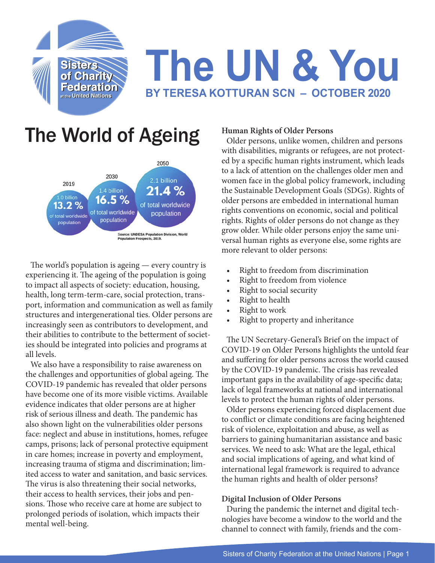

# **The UN & You BY TERESA KOTTURAN SCN – OCTOBER 2020**

## The World of Ageing



The world's population is ageing — every country is experiencing it. The ageing of the population is going to impact all aspects of society: education, housing, health, long term-term-care, social protection, transport, information and communication as well as family structures and intergenerational ties. Older persons are increasingly seen as contributors to development, and their abilities to contribute to the betterment of societies should be integrated into policies and programs at all levels.

We also have a responsibility to raise awareness on the challenges and opportunities of global ageing. The COVID-19 pandemic has revealed that older persons have become one of its more visible victims. Available evidence indicates that older persons are at higher risk of serious illness and death. The pandemic has also shown light on the vulnerabilities older persons face: neglect and abuse in institutions, homes, refugee camps, prisons; lack of personal protective equipment in care homes; increase in poverty and employment, increasing trauma of stigma and discrimination; limited access to water and sanitation, and basic services. The virus is also threatening their social networks, their access to health services, their jobs and pensions. Those who receive care at home are subject to prolonged periods of isolation, which impacts their mental well-being.

#### **Human Rights of Older Persons**

Older persons, unlike women, children and persons with disabilities, migrants or refugees, are not protected by a specific human rights instrument, which leads to a lack of attention on the challenges older men and women face in the global policy framework, including the Sustainable Development Goals (SDGs). Rights of older persons are embedded in international human rights conventions on economic, social and political rights. Rights of older persons do not change as they grow older. While older persons enjoy the same universal human rights as everyone else, some rights are more relevant to older persons:

- Right to freedom from discrimination
- Right to freedom from violence
- Right to social security
- Right to health
- Right to work
- Right to property and inheritance

The UN Secretary-General's Brief on the impact of COVID-19 on Older Persons highlights the untold fear and suffering for older persons across the world caused by the COVID-19 pandemic. The crisis has revealed important gaps in the availability of age-specific data; lack of legal frameworks at national and international levels to protect the human rights of older persons.

Older persons experiencing forced displacement due to conflict or climate conditions are facing heightened risk of violence, exploitation and abuse, as well as barriers to gaining humanitarian assistance and basic services. We need to ask: What are the legal, ethical and social implications of ageing, and what kind of international legal framework is required to advance the human rights and health of older persons?

#### **Digital Inclusion of Older Persons**

During the pandemic the internet and digital technologies have become a window to the world and the channel to connect with family, friends and the com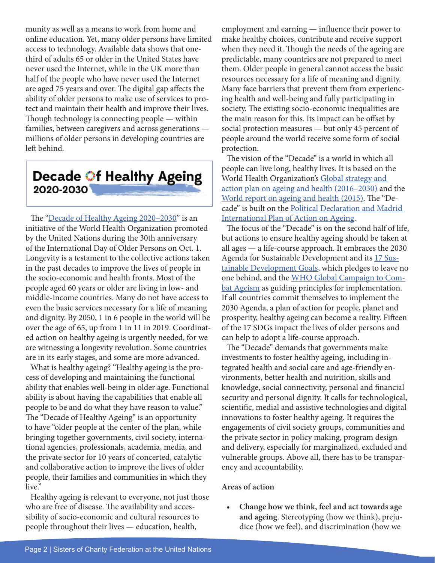munity as well as a means to work from home and online education. Yet, many older persons have limited access to technology. Available data shows that onethird of adults 65 or older in the United States have never used the Internet, while in the UK more than half of the people who have never used the Internet are aged 75 years and over. The digital gap affects the ability of older persons to make use of services to protect and maintain their health and improve their lives. Though technology is connecting people — within families, between caregivers and across generations millions of older persons in developing countries are left behind.

### **Decade Of Healthy Ageing** 2020-2030

The ["Decade of Healthy Ageing 2020–2030"](https://www.who.int/ageing/decade-of-healthy-ageing) is an initiative of the World Health Organization promoted by the United Nations during the 30th anniversary of the International Day of Older Persons on Oct. 1. Longevity is a testament to the collective actions taken in the past decades to improve the lives of people in the socio-economic and health fronts. Most of the people aged 60 years or older are living in low- and middle-income countries. Many do not have access to even the basic services necessary for a life of meaning and dignity. By 2050, 1 in 6 people in the world will be over the age of 65, up from 1 in 11 in 2019. Coordinated action on healthy ageing is urgently needed, for we are witnessing a longevity revolution. Some countries are in its early stages, and some are more advanced.

What is healthy ageing? "Healthy ageing is the process of developing and maintaining the functional ability that enables well-being in older age. Functional ability is about having the capabilities that enable all people to be and do what they have reason to value." The "Decade of Healthy Ageing" is an opportunity to have "older people at the center of the plan, while bringing together governments, civil society, international agencies, professionals, academia, media, and the private sector for 10 years of concerted, catalytic and collaborative action to improve the lives of older people, their families and communities in which they live."

Healthy ageing is relevant to everyone, not just those who are free of disease. The availability and accessibility of socio-economic and cultural resources to people throughout their lives — education, health,

employment and earning — influence their power to make healthy choices, contribute and receive support when they need it. Though the needs of the ageing are predictable, many countries are not prepared to meet them. Older people in general cannot access the basic resources necessary for a life of meaning and dignity. Many face barriers that prevent them from experiencing health and well-being and fully participating in society. The existing socio-economic inequalities are the main reason for this. Its impact can be offset by social protection measures — but only 45 percent of people around the world receive some form of social protection.

The vision of the "Decade" is a world in which all people can live long, healthy lives. It is based on the World Health Organization's Global strategy and [action plan on ageing and health \(2016–2030\)](https://www.who.int/ageing/global-strategy/en/) and the [World report on ageing and health \(2015\)](https://www.who.int/ageing/events/world-report-2015-launch/en/). The "Decade" is built on the [Political Declaration and Madrid](https://www.un.org/esa/socdev/documents/ageing/MIPAA/political-declaration-en.pdf)  [International Plan of Action on Ageing.](https://www.un.org/esa/socdev/documents/ageing/MIPAA/political-declaration-en.pdf)

The focus of the "Decade" is on the second half of life, but actions to ensure healthy ageing should be taken at all ages — a life-course approach. It embraces the 2030 Agenda for Sustainable Development and its 17 Sustainable Development Goals, which pledges to leave no one behind, and the [WHO Global Campaign to Com](https://www.who.int/bulletin/volumes/96/4/17-202424.pdf)[bat Ageism](https://www.who.int/bulletin/volumes/96/4/17-202424.pdf) as guiding principles for implementation. If all countries commit themselves to implement the 2030 Agenda, a plan of action for people, planet and prosperity, healthy ageing can become a reality. Fifteen of the 17 SDGs impact the lives of older persons and can help to adopt a life-course approach.

The "Decade" demands that governments make investments to foster healthy ageing, including integrated health and social care and age-friendly environments, better health and nutrition, skills and knowledge, social connectivity, personal and financial security and personal dignity. It calls for technological, scientific, medial and assistive technologies and digital innovations to foster healthy ageing. It requires the engagements of civil society groups, communities and the private sector in policy making, program design and delivery, especially for marginalized, excluded and vulnerable groups. Above all, there has to be transparency and accountability.

#### **Areas of action**

**• Change how we think, feel and act towards age and ageing**. Stereotyping (how we think), prejudice (how we feel), and discrimination (how we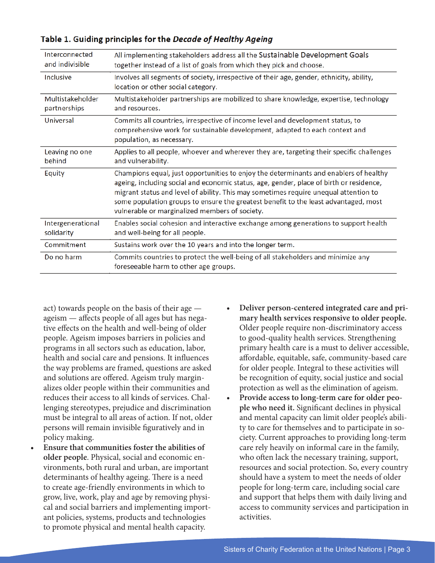| Interconnected<br>and indivisible | All implementing stakeholders address all the Sustainable Development Goals<br>together instead of a list of goals from which they pick and choose.                                                                                                                                                                                                                                                               |
|-----------------------------------|-------------------------------------------------------------------------------------------------------------------------------------------------------------------------------------------------------------------------------------------------------------------------------------------------------------------------------------------------------------------------------------------------------------------|
| Inclusive                         | Involves all segments of society, irrespective of their age, gender, ethnicity, ability,<br>location or other social category.                                                                                                                                                                                                                                                                                    |
| Multistakeholder<br>partnerships  | Multistakeholder partnerships are mobilized to share knowledge, expertise, technology<br>and resources.                                                                                                                                                                                                                                                                                                           |
| Universal                         | Commits all countries, irrespective of income level and development status, to<br>comprehensive work for sustainable development, adapted to each context and<br>population, as necessary.                                                                                                                                                                                                                        |
| Leaving no one<br>behind          | Applies to all people, whoever and wherever they are, targeting their specific challenges<br>and vulnerability.                                                                                                                                                                                                                                                                                                   |
| Equity                            | Champions equal, just opportunities to enjoy the determinants and enablers of healthy<br>ageing, including social and economic status, age, gender, place of birth or residence,<br>migrant status and level of ability. This may sometimes require unequal attention to<br>some population groups to ensure the greatest benefit to the least advantaged, most<br>vulnerable or marginalized members of society. |
| Intergenerational<br>solidarity   | Enables social cohesion and interactive exchange among generations to support health<br>and well-being for all people.                                                                                                                                                                                                                                                                                            |
| Commitment                        | Sustains work over the 10 years and into the longer term.                                                                                                                                                                                                                                                                                                                                                         |
| Do no harm                        | Commits countries to protect the well-being of all stakeholders and minimize any<br>foreseeable harm to other age groups.                                                                                                                                                                                                                                                                                         |

#### Table 1. Guiding principles for the Decade of Healthy Ageing

act) towards people on the basis of their age ageism — affects people of all ages but has negative effects on the health and well-being of older people. Ageism imposes barriers in policies and programs in all sectors such as education, labor, health and social care and pensions. It influences the way problems are framed, questions are asked and solutions are offered. Ageism truly marginalizes older people within their communities and reduces their access to all kinds of services. Challenging stereotypes, prejudice and discrimination must be integral to all areas of action. If not, older persons will remain invisible figuratively and in policy making.

- **• Ensure that communities foster the abilities of older people**. Physical, social and economic environments, both rural and urban, are important determinants of healthy ageing. There is a need to create age-friendly environments in which to grow, live, work, play and age by removing physical and social barriers and implementing important policies, systems, products and technologies to promote physical and mental health capacity.
- **• Deliver person-centered integrated care and primary health services responsive to older people.** Older people require non-discriminatory access to good-quality health services. Strengthening primary health care is a must to deliver accessible, affordable, equitable, safe, community-based care for older people. Integral to these activities will be recognition of equity, social justice and social protection as well as the elimination of ageism.
- **• Provide access to long-term care for older people who need it.** Significant declines in physical and mental capacity can limit older people's ability to care for themselves and to participate in society. Current approaches to providing long-term care rely heavily on informal care in the family, who often lack the necessary training, support, resources and social protection. So, every country should have a system to meet the needs of older people for long-term care, including social care and support that helps them with daily living and access to community services and participation in activities.